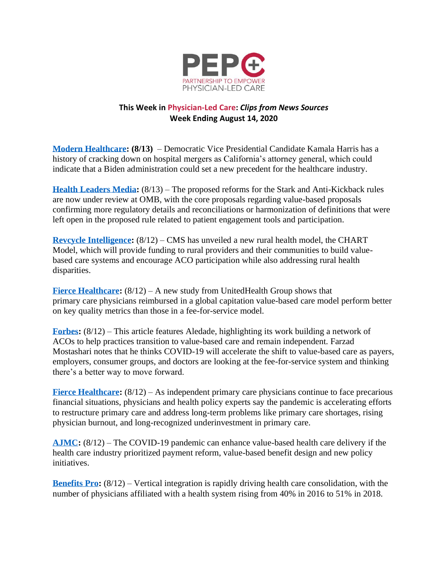

## **This Week in Physician-Led Care:** *Clips from News Sources* **Week Ending August 14, 2020**

**[Modern Healthcare:](https://www.modernhealthcare.com/politics-policy/kamala-harris-has-history-healthcare-merger-crackdowns) (8/13)** – Democratic Vice Presidential Candidate Kamala Harris has a history of cracking down on hospital mergers as California's attorney general, which could indicate that a Biden administration could set a new precedent for the healthcare industry.

**[Health Leaders Media:](https://www.healthleadersmedia.com/strategy/what-can-we-expect-stark-anti-kickback-revisions)** (8/13) – The proposed reforms for the Stark and Anti-Kickback rules are now under review at OMB, with the core proposals regarding value-based proposals confirming more regulatory details and reconciliations or harmonization of definitions that were left open in the proposed rule related to patient engagement tools and participation.

**[Revcycle Intelligence:](https://revcycleintelligence.com/news/cms-unveils-new-value-based-care-aco-options-for-rural-providers)** (8/12) – CMS has unveiled a new rural health model, the CHART Model, which will provide funding to rural providers and their communities to build valuebased care systems and encourage ACO participation while also addressing rural health disparities.

**[Fierce Healthcare:](https://www.fiercehealthcare.com/practices/unitedhealth-study-primary-care-docs-value-based-models-achieve-better-patient-outcomes)** (8/12) – A new study from UnitedHealth Group shows that primary care physicians reimbursed in a global capitation value-based care model perform better on key quality metrics than those in a fee-for-service model.

**[Forbes:](https://www.forbes.com/sites/sethjoseph/2020/08/12/one-tech-firms-quest-to-save-independent-physiciansand-our-healthcare-system/#9fc5bb074e7b)** (8/12) – This article features Aledade, highlighting its work building a network of ACOs to help practices transition to value-based care and remain independent. Farzad Mostashari notes that he thinks COVID-19 will accelerate the shift to value-based care as payers, employers, consumer groups, and doctors are looking at the fee-for-service system and thinking there's a better way to move forward.

**[Fierce Healthcare:](https://www.fiercehealthcare.com/practices/primary-care-doctors-look-at-payment-overhaul-after-pandemic-disruption)** (8/12) – As independent primary care physicians continue to face precarious financial situations, physicians and health policy experts say the pandemic is accelerating efforts to restructure primary care and address long-term problems like primary care shortages, rising physician burnout, and long-recognized underinvestment in primary care.

**[AJMC:](https://www.ajmc.com/view/how-can-the-covid-19-pandemic-enhance-value-based-health-care-delivery)** (8/12) – The COVID-19 pandemic can enhance value-based health care delivery if the health care industry prioritized payment reform, value-based benefit design and new policy initiatives.

**[Benefits Pro:](https://www.benefitspro.com/2020/08/12/vertical-integration-driving-health-care-consolidation/)** (8/12) – Vertical integration is rapidly driving health care consolidation, with the number of physicians affiliated with a health system rising from 40% in 2016 to 51% in 2018.